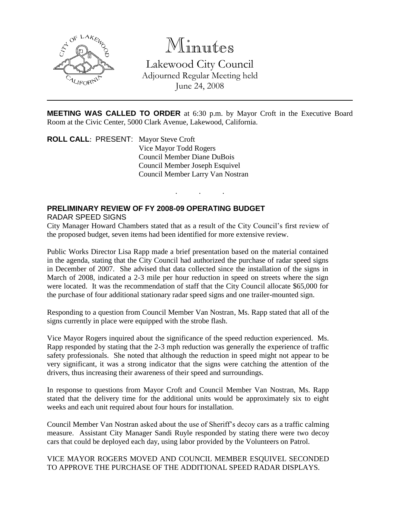

# Minutes

Lakewood City Council Adjourned Regular Meeting held June 24, 2008

**MEETING WAS CALLED TO ORDER** at 6:30 p.m. by Mayor Croft in the Executive Board Room at the Civic Center, 5000 Clark Avenue, Lakewood, California.

. . .

**ROLL CALL**: PRESENT: Mayor Steve Croft Vice Mayor Todd Rogers Council Member Diane DuBois Council Member Joseph Esquivel Council Member Larry Van Nostran

# **PRELIMINARY REVIEW OF FY 2008-09 OPERATING BUDGET** RADAR SPEED SIGNS

City Manager Howard Chambers stated that as a result of the City Council's first review of the proposed budget, seven items had been identified for more extensive review.

Public Works Director Lisa Rapp made a brief presentation based on the material contained in the agenda, stating that the City Council had authorized the purchase of radar speed signs in December of 2007. She advised that data collected since the installation of the signs in March of 2008, indicated a 2-3 mile per hour reduction in speed on streets where the sign were located. It was the recommendation of staff that the City Council allocate \$65,000 for the purchase of four additional stationary radar speed signs and one trailer-mounted sign.

Responding to a question from Council Member Van Nostran, Ms. Rapp stated that all of the signs currently in place were equipped with the strobe flash.

Vice Mayor Rogers inquired about the significance of the speed reduction experienced. Ms. Rapp responded by stating that the 2-3 mph reduction was generally the experience of traffic safety professionals. She noted that although the reduction in speed might not appear to be very significant, it was a strong indicator that the signs were catching the attention of the drivers, thus increasing their awareness of their speed and surroundings.

In response to questions from Mayor Croft and Council Member Van Nostran, Ms. Rapp stated that the delivery time for the additional units would be approximately six to eight weeks and each unit required about four hours for installation.

Council Member Van Nostran asked about the use of Sheriff's decoy cars as a traffic calming measure. Assistant City Manager Sandi Ruyle responded by stating there were two decoy cars that could be deployed each day, using labor provided by the Volunteers on Patrol.

VICE MAYOR ROGERS MOVED AND COUNCIL MEMBER ESQUIVEL SECONDED TO APPROVE THE PURCHASE OF THE ADDITIONAL SPEED RADAR DISPLAYS.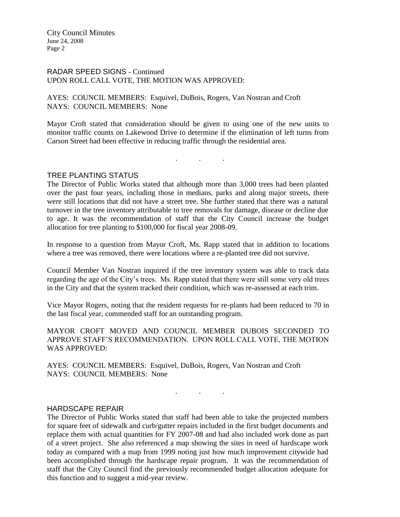### RADAR SPEED SIGNS - Continued UPON ROLL CALL VOTE, THE MOTION WAS APPROVED:

AYES: COUNCIL MEMBERS: Esquivel, DuBois, Rogers, Van Nostran and Croft NAYS: COUNCIL MEMBERS: None

Mayor Croft stated that consideration should be given to using one of the new units to monitor traffic counts on Lakewood Drive to determine if the elimination of left turns from Carson Street had been effective in reducing traffic through the residential area.

. . .

#### TREE PLANTING STATUS

The Director of Public Works stated that although more than 3,000 trees had been planted over the past four years, including those in medians, parks and along major streets, there were still locations that did not have a street tree. She further stated that there was a natural turnover in the tree inventory attributable to tree removals for damage, disease or decline due to age. It was the recommendation of staff that the City Council increase the budget allocation for tree planting to \$100,000 for fiscal year 2008-09.

In response to a question from Mayor Croft, Ms. Rapp stated that in addition to locations where a tree was removed, there were locations where a re-planted tree did not survive.

Council Member Van Nostran inquired if the tree inventory system was able to track data regarding the age of the City's trees. Ms. Rapp stated that there were still some very old trees in the City and that the system tracked their condition, which was re-assessed at each trim.

Vice Mayor Rogers, noting that the resident requests for re-plants had been reduced to 70 in the last fiscal year, commended staff for an outstanding program.

MAYOR CROFT MOVED AND COUNCIL MEMBER DUBOIS SECONDED TO APPROVE STAFF'S RECOMMENDATION. UPON ROLL CALL VOTE, THE MOTION WAS APPROVED:

. . .

AYES: COUNCIL MEMBERS: Esquivel, DuBois, Rogers, Van Nostran and Croft NAYS: COUNCIL MEMBERS: None

#### HARDSCAPE REPAIR

The Director of Public Works stated that staff had been able to take the projected numbers for square feet of sidewalk and curb/gutter repairs included in the first budget documents and replace them with actual quantities for FY 2007-08 and had also included work done as part of a street project. She also referenced a map showing the sites in need of hardscape work today as compared with a map from 1999 noting just how much improvement citywide had been accomplished through the hardscape repair program. It was the recommendation of staff that the City Council find the previously recommended budget allocation adequate for this function and to suggest a mid-year review.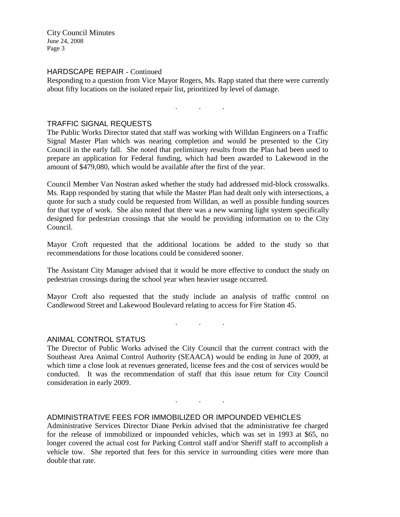# HARDSCAPE REPAIR - Continued

Responding to a question from Vice Mayor Rogers, Ms. Rapp stated that there were currently about fifty locations on the isolated repair list, prioritized by level of damage.

. . .

#### TRAFFIC SIGNAL REQUESTS

The Public Works Director stated that staff was working with Willdan Engineers on a Traffic Signal Master Plan which was nearing completion and would be presented to the City Council in the early fall. She noted that preliminary results from the Plan had been used to prepare an application for Federal funding, which had been awarded to Lakewood in the amount of \$479,080, which would be available after the first of the year.

Council Member Van Nostran asked whether the study had addressed mid-block crosswalks. Ms. Rapp responded by stating that while the Master Plan had dealt only with intersections, a quote for such a study could be requested from Willdan, as well as possible funding sources for that type of work. She also noted that there was a new warning light system specifically designed for pedestrian crossings that she would be providing information on to the City Council.

Mayor Croft requested that the additional locations be added to the study so that recommendations for those locations could be considered sooner.

The Assistant City Manager advised that it would be more effective to conduct the study on pedestrian crossings during the school year when heavier usage occurred.

Mayor Croft also requested that the study include an analysis of traffic control on Candlewood Street and Lakewood Boulevard relating to access for Fire Station 45.

. . .

. . .

#### ANIMAL CONTROL STATUS

The Director of Public Works advised the City Council that the current contract with the Southeast Area Animal Control Authority (SEAACA) would be ending in June of 2009, at which time a close look at revenues generated, license fees and the cost of services would be conducted. It was the recommendation of staff that this issue return for City Council consideration in early 2009.

### ADMINISTRATIVE FEES FOR IMMOBILIZED OR IMPOUNDED VEHICLES

Administrative Services Director Diane Perkin advised that the administrative fee charged for the release of immobilized or impounded vehicles, which was set in 1993 at \$65, no longer covered the actual cost for Parking Control staff and/or Sheriff staff to accomplish a vehicle tow. She reported that fees for this service in surrounding cities were more than double that rate.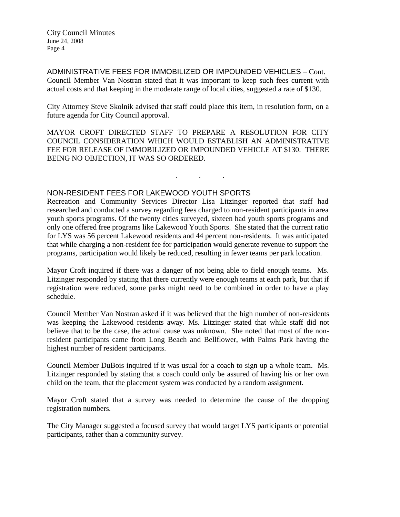ADMINISTRATIVE FEES FOR IMMOBILIZED OR IMPOUNDED VEHICLES – Cont. Council Member Van Nostran stated that it was important to keep such fees current with actual costs and that keeping in the moderate range of local cities, suggested a rate of \$130.

City Attorney Steve Skolnik advised that staff could place this item, in resolution form, on a future agenda for City Council approval.

MAYOR CROFT DIRECTED STAFF TO PREPARE A RESOLUTION FOR CITY COUNCIL CONSIDERATION WHICH WOULD ESTABLISH AN ADMINISTRATIVE FEE FOR RELEASE OF IMMOBILIZED OR IMPOUNDED VEHICLE AT \$130. THERE BEING NO OBJECTION, IT WAS SO ORDERED.

. . .

# NON-RESIDENT FEES FOR LAKEWOOD YOUTH SPORTS

Recreation and Community Services Director Lisa Litzinger reported that staff had researched and conducted a survey regarding fees charged to non-resident participants in area youth sports programs. Of the twenty cities surveyed, sixteen had youth sports programs and only one offered free programs like Lakewood Youth Sports. She stated that the current ratio for LYS was 56 percent Lakewood residents and 44 percent non-residents. It was anticipated that while charging a non-resident fee for participation would generate revenue to support the programs, participation would likely be reduced, resulting in fewer teams per park location.

Mayor Croft inquired if there was a danger of not being able to field enough teams. Ms. Litzinger responded by stating that there currently were enough teams at each park, but that if registration were reduced, some parks might need to be combined in order to have a play schedule.

Council Member Van Nostran asked if it was believed that the high number of non-residents was keeping the Lakewood residents away. Ms. Litzinger stated that while staff did not believe that to be the case, the actual cause was unknown. She noted that most of the nonresident participants came from Long Beach and Bellflower, with Palms Park having the highest number of resident participants.

Council Member DuBois inquired if it was usual for a coach to sign up a whole team. Ms. Litzinger responded by stating that a coach could only be assured of having his or her own child on the team, that the placement system was conducted by a random assignment.

Mayor Croft stated that a survey was needed to determine the cause of the dropping registration numbers.

The City Manager suggested a focused survey that would target LYS participants or potential participants, rather than a community survey.